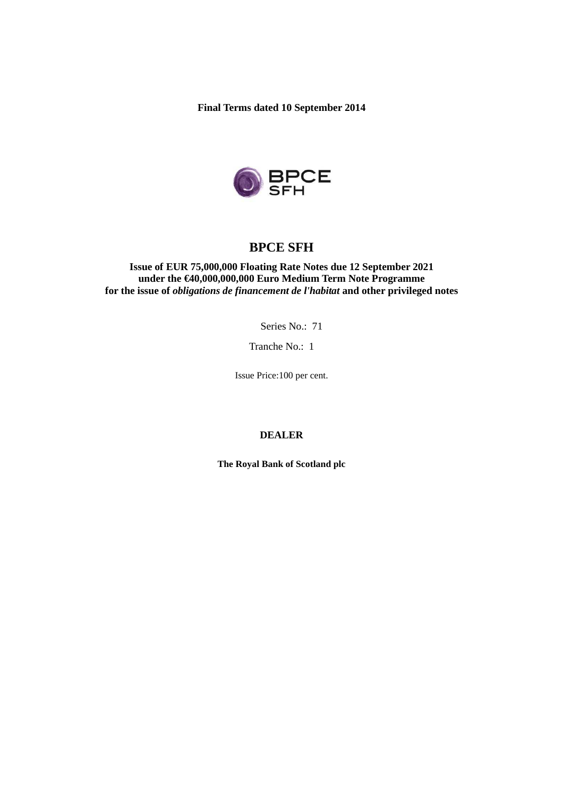**Final Terms dated 10 September 2014** 



# **BPCE SFH**

**Issue of EUR 75,000,000 Floating Rate Notes due 12 September 2021 under the €40,000,000,000 Euro Medium Term Note Programme for the issue of** *obligations de financement de l'habitat* **and other privileged notes** 

Series No.: 71

Tranche No.: 1

Issue Price:100 per cent.

## **DEALER**

**The Royal Bank of Scotland plc**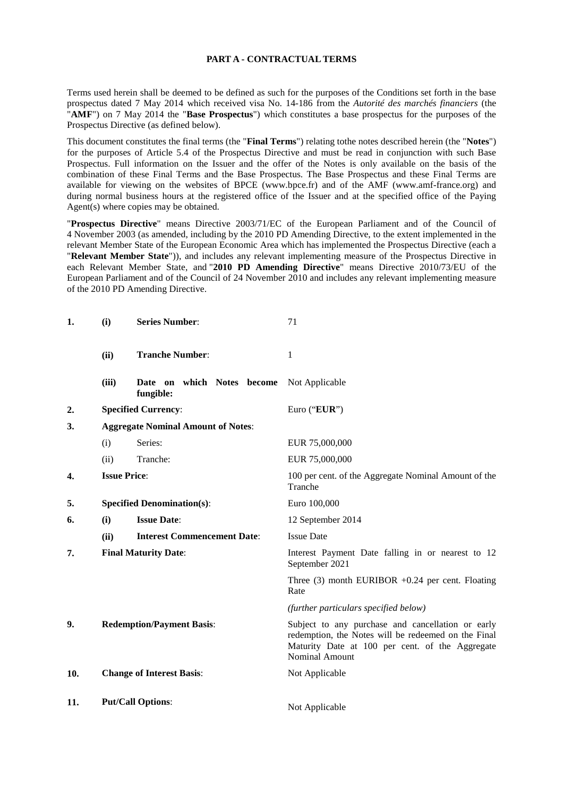### **PART A - CONTRACTUAL TERMS**

Terms used herein shall be deemed to be defined as such for the purposes of the Conditions set forth in the base prospectus dated 7 May 2014 which received visa No. 14-186 from the *Autorité des marchés financiers* (the "**AMF**") on 7 May 2014 the "**Base Prospectus**") which constitutes a base prospectus for the purposes of the Prospectus Directive (as defined below).

This document constitutes the final terms (the "**Final Terms**") relating tothe notes described herein (the "**Notes**") for the purposes of Article 5.4 of the Prospectus Directive and must be read in conjunction with such Base Prospectus. Full information on the Issuer and the offer of the Notes is only available on the basis of the combination of these Final Terms and the Base Prospectus. The Base Prospectus and these Final Terms are available for viewing on the websites of BPCE (www.bpce.fr) and of the AMF (www.amf-france.org) and during normal business hours at the registered office of the Issuer and at the specified office of the Paying Agent(s) where copies may be obtained.

"**Prospectus Directive**" means Directive 2003/71/EC of the European Parliament and of the Council of 4 November 2003 (as amended, including by the 2010 PD Amending Directive, to the extent implemented in the relevant Member State of the European Economic Area which has implemented the Prospectus Directive (each a "**Relevant Member State**")), and includes any relevant implementing measure of the Prospectus Directive in each Relevant Member State, and "**2010 PD Amending Directive**" means Directive 2010/73/EU of the European Parliament and of the Council of 24 November 2010 and includes any relevant implementing measure of the 2010 PD Amending Directive.

| 1.               | (i)                                       | <b>Series Number:</b>                      | 71                                                                                                                                                                                   |
|------------------|-------------------------------------------|--------------------------------------------|--------------------------------------------------------------------------------------------------------------------------------------------------------------------------------------|
|                  | (ii)                                      | <b>Tranche Number:</b>                     | 1                                                                                                                                                                                    |
|                  | (iii)                                     | which Notes become<br>Date on<br>fungible: | Not Applicable                                                                                                                                                                       |
| 2.               |                                           | <b>Specified Currency:</b>                 | Euro ("EUR")                                                                                                                                                                         |
| 3.               | <b>Aggregate Nominal Amount of Notes:</b> |                                            |                                                                                                                                                                                      |
|                  | (i)                                       | Series:                                    | EUR 75,000,000                                                                                                                                                                       |
|                  | (ii)                                      | Tranche:                                   | EUR 75,000,000                                                                                                                                                                       |
| $\overline{4}$ . | <b>Issue Price:</b>                       |                                            | 100 per cent. of the Aggregate Nominal Amount of the<br>Tranche                                                                                                                      |
| 5.               | <b>Specified Denomination(s):</b>         |                                            | Euro 100,000                                                                                                                                                                         |
| 6.               | (i)                                       | <b>Issue Date:</b>                         | 12 September 2014                                                                                                                                                                    |
|                  | (ii)                                      | <b>Interest Commencement Date:</b>         | <b>Issue Date</b>                                                                                                                                                                    |
| 7.               | <b>Final Maturity Date:</b>               |                                            | Interest Payment Date falling in or nearest to 12<br>September 2021                                                                                                                  |
|                  |                                           |                                            | Three $(3)$ month EURIBOR +0.24 per cent. Floating<br>Rate                                                                                                                           |
|                  |                                           |                                            | (further particulars specified below)                                                                                                                                                |
| 9.               |                                           | <b>Redemption/Payment Basis:</b>           | Subject to any purchase and cancellation or early<br>redemption, the Notes will be redeemed on the Final<br>Maturity Date at 100 per cent. of the Aggregate<br><b>Nominal Amount</b> |
| 10.              |                                           | <b>Change of Interest Basis:</b>           | Not Applicable                                                                                                                                                                       |
| 11.              |                                           | <b>Put/Call Options:</b>                   | Not Applicable                                                                                                                                                                       |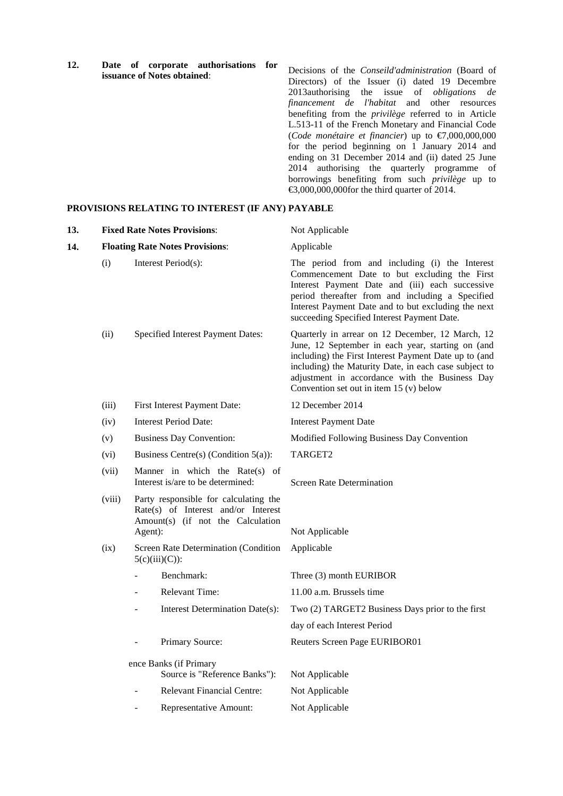**12. Date of corporate authorisations for issuance of Notes obtained**:

Decisions of the *Conseild'administration* (Board of Directors) of the Issuer (i) dated 19 Decembre 2013authorising the issue of *obligations de financement de l'habitat* and other resources benefiting from the *privilège* referred to in Article L.513-11 of the French Monetary and Financial Code (*Code monétaire et financier*) up to €7,000,000,000 for the period beginning on 1 January 2014 and ending on 31 December 2014 and (ii) dated 25 June 2014 authorising the quarterly programme of borrowings benefiting from such *privilège* up to €3,000,000,000for the third quarter of 2014.

#### **PROVISIONS RELATING TO INTEREST (IF ANY) PAYABLE**

| 13. |        | <b>Fixed Rate Notes Provisions:</b>                                                                                          | Not Applicable                                                                                                                                                                                                                                                                                                        |
|-----|--------|------------------------------------------------------------------------------------------------------------------------------|-----------------------------------------------------------------------------------------------------------------------------------------------------------------------------------------------------------------------------------------------------------------------------------------------------------------------|
| 14. |        | <b>Floating Rate Notes Provisions:</b>                                                                                       | Applicable                                                                                                                                                                                                                                                                                                            |
|     | (i)    | Interest Period(s):                                                                                                          | The period from and including (i) the Interest<br>Commencement Date to but excluding the First<br>Interest Payment Date and (iii) each successive<br>period thereafter from and including a Specified<br>Interest Payment Date and to but excluding the next<br>succeeding Specified Interest Payment Date.           |
|     | (ii)   | Specified Interest Payment Dates:                                                                                            | Quarterly in arrear on 12 December, 12 March, 12<br>June, 12 September in each year, starting on (and<br>including) the First Interest Payment Date up to (and<br>including) the Maturity Date, in each case subject to<br>adjustment in accordance with the Business Day<br>Convention set out in item $15(y)$ below |
|     | (iii)  | First Interest Payment Date:                                                                                                 | 12 December 2014                                                                                                                                                                                                                                                                                                      |
|     | (iv)   | <b>Interest Period Date:</b>                                                                                                 | <b>Interest Payment Date</b>                                                                                                                                                                                                                                                                                          |
|     | (v)    | <b>Business Day Convention:</b>                                                                                              | Modified Following Business Day Convention                                                                                                                                                                                                                                                                            |
|     | (vi)   | Business Centre(s) (Condition $5(a)$ ):                                                                                      | TARGET2                                                                                                                                                                                                                                                                                                               |
|     | (vii)  | Manner in which the Rate(s) of<br>Interest is/are to be determined:                                                          | <b>Screen Rate Determination</b>                                                                                                                                                                                                                                                                                      |
|     | (viii) | Party responsible for calculating the<br>Rate(s) of Interest and/or Interest<br>Amount(s) (if not the Calculation<br>Agent): | Not Applicable                                                                                                                                                                                                                                                                                                        |
|     | (ix)   | Screen Rate Determination (Condition<br>$5(c)(iii)(C))$ :                                                                    | Applicable                                                                                                                                                                                                                                                                                                            |
|     |        | Benchmark:                                                                                                                   | Three (3) month EURIBOR                                                                                                                                                                                                                                                                                               |
|     |        | <b>Relevant Time:</b>                                                                                                        | 11.00 a.m. Brussels time                                                                                                                                                                                                                                                                                              |
|     |        | Interest Determination Date(s):                                                                                              | Two (2) TARGET2 Business Days prior to the first                                                                                                                                                                                                                                                                      |
|     |        |                                                                                                                              | day of each Interest Period                                                                                                                                                                                                                                                                                           |
|     |        | Primary Source:                                                                                                              | Reuters Screen Page EURIBOR01                                                                                                                                                                                                                                                                                         |
|     |        | ence Banks (if Primary<br>Source is "Reference Banks"):                                                                      | Not Applicable                                                                                                                                                                                                                                                                                                        |
|     |        | <b>Relevant Financial Centre:</b>                                                                                            | Not Applicable                                                                                                                                                                                                                                                                                                        |
|     |        | Representative Amount:                                                                                                       | Not Applicable                                                                                                                                                                                                                                                                                                        |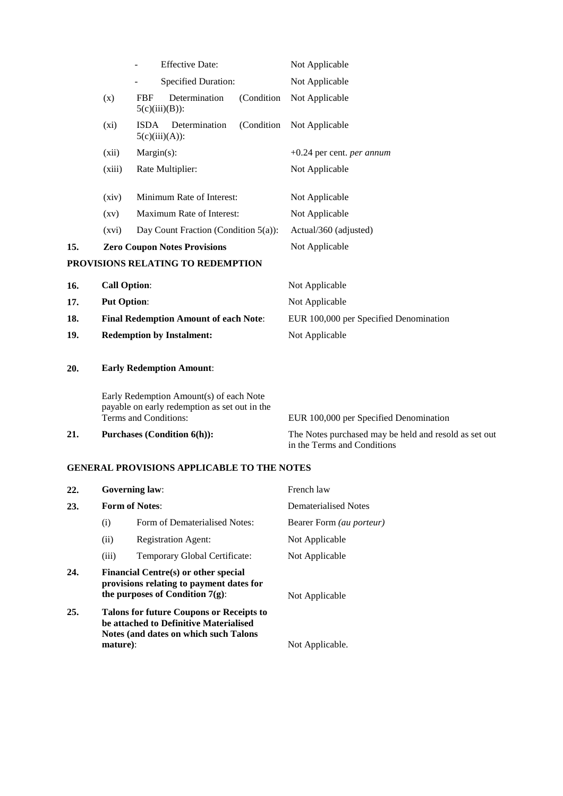|     |                                              | <b>Effective Date:</b>                                                                                            | Not Applicable                                                                       |  |
|-----|----------------------------------------------|-------------------------------------------------------------------------------------------------------------------|--------------------------------------------------------------------------------------|--|
|     |                                              | <b>Specified Duration:</b>                                                                                        | Not Applicable                                                                       |  |
|     | (x)                                          | Determination<br><b>FBF</b><br>(Condition)<br>$5(c)(iii)(B))$ :                                                   | Not Applicable                                                                       |  |
|     | $(x_i)$                                      | Determination<br>(Condition<br><b>ISDA</b><br>$5(c)(iii)(A))$ :                                                   | Not Applicable                                                                       |  |
|     | (xii)                                        | $Margin(s)$ :                                                                                                     | $+0.24$ per cent. <i>per annum</i>                                                   |  |
|     | (xiii)                                       | Rate Multiplier:                                                                                                  | Not Applicable                                                                       |  |
|     | (xiv)                                        | Minimum Rate of Interest:                                                                                         | Not Applicable                                                                       |  |
|     | $\left( xy\right)$                           | Maximum Rate of Interest:                                                                                         | Not Applicable                                                                       |  |
|     | (xvi)                                        | Day Count Fraction (Condition $5(a)$ ):                                                                           | Actual/360 (adjusted)                                                                |  |
| 15. | <b>Zero Coupon Notes Provisions</b>          |                                                                                                                   | Not Applicable                                                                       |  |
|     |                                              | PROVISIONS RELATING TO REDEMPTION                                                                                 |                                                                                      |  |
| 16. | <b>Call Option:</b>                          |                                                                                                                   | Not Applicable                                                                       |  |
| 17. | <b>Put Option:</b>                           |                                                                                                                   | Not Applicable                                                                       |  |
| 18. | <b>Final Redemption Amount of each Note:</b> |                                                                                                                   | EUR 100,000 per Specified Denomination                                               |  |
| 19. | <b>Redemption by Instalment:</b>             |                                                                                                                   | Not Applicable                                                                       |  |
| 20. |                                              | <b>Early Redemption Amount:</b>                                                                                   |                                                                                      |  |
|     |                                              | Early Redemption Amount(s) of each Note<br>payable on early redemption as set out in the<br>Terms and Conditions: | EUR 100,000 per Specified Denomination                                               |  |
| 21. |                                              | <b>Purchases (Condition 6(h)):</b>                                                                                | The Notes purchased may be held and resold as set out<br>in the Terms and Conditions |  |

in the Terms and Conditions

# **GENERAL PROVISIONS APPLICABLE TO THE NOTES**

| 22. |          | <b>Governing law:</b>                                                                                                              | French law                      |
|-----|----------|------------------------------------------------------------------------------------------------------------------------------------|---------------------------------|
| 23. |          | <b>Form of Notes:</b>                                                                                                              | Dematerialised Notes            |
|     | (i)      | Form of Dematerialised Notes:                                                                                                      | Bearer Form <i>(au porteur)</i> |
|     | (ii)     | <b>Registration Agent:</b>                                                                                                         | Not Applicable                  |
|     | (iii)    | Temporary Global Certificate:                                                                                                      | Not Applicable                  |
| 24. |          | <b>Financial Centre(s) or other special</b><br>provisions relating to payment dates for<br>the purposes of Condition $7(g)$ :      | Not Applicable                  |
| 25. |          | <b>Talons for future Coupons or Receipts to</b><br>be attached to Definitive Materialised<br>Notes (and dates on which such Talons |                                 |
|     | mature): |                                                                                                                                    | Not Applicable.                 |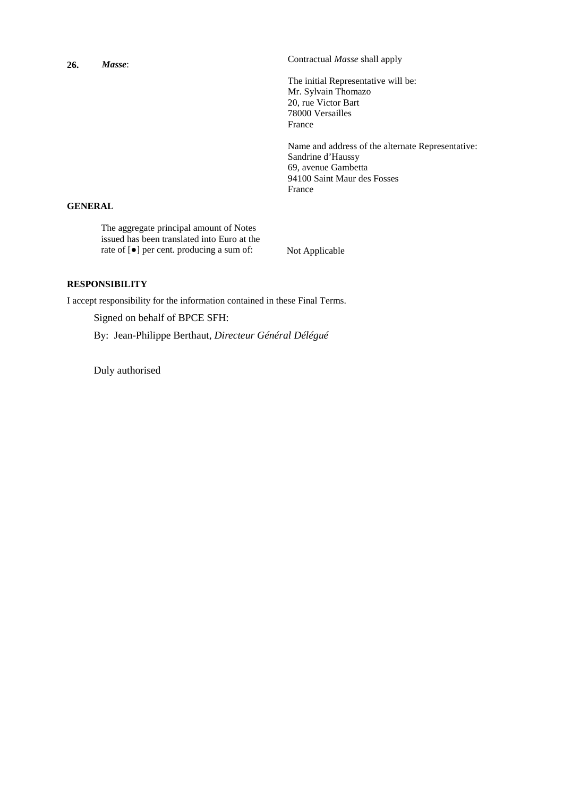| 26.            | Masse: | Contractual <i>Masse</i> shall apply                                                                                                   |
|----------------|--------|----------------------------------------------------------------------------------------------------------------------------------------|
|                |        | The initial Representative will be:<br>Mr. Sylvain Thomazo<br>20, rue Victor Bart<br>78000 Versailles                                  |
|                |        | France                                                                                                                                 |
|                |        | Name and address of the alternate Representative:<br>Sandrine d'Haussy<br>69, avenue Gambetta<br>94100 Saint Maur des Fosses<br>France |
| <b>GENERAL</b> |        |                                                                                                                                        |
|                |        |                                                                                                                                        |

The aggregate principal amount of Notes issued has been translated into Euro at the rate of [●] per cent. producing a sum of: Not Applicable

## **RESPONSIBILITY**

I accept responsibility for the information contained in these Final Terms.

Signed on behalf of BPCE SFH:

By: Jean-Philippe Berthaut, *Directeur Général Délégué*

Duly authorised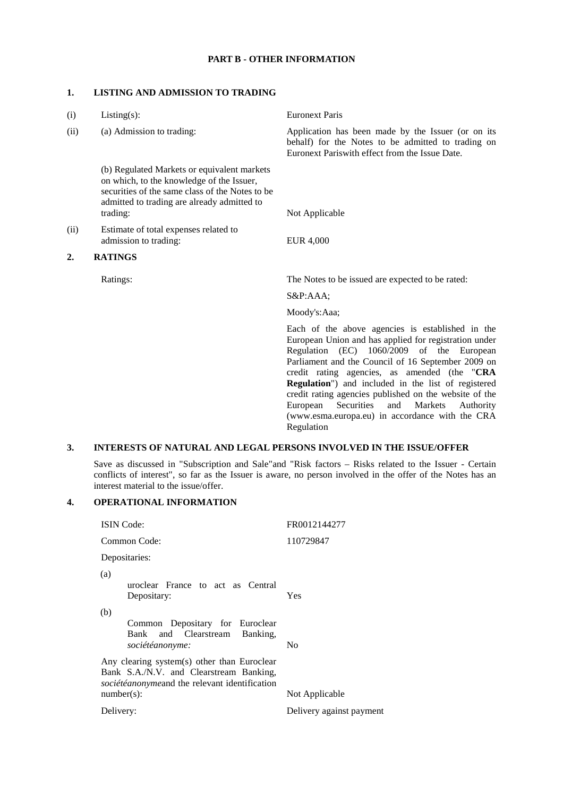## **PART B - OTHER INFORMATION**

## **1. LISTING AND ADMISSION TO TRADING**

| (i)  | $Listing(s)$ :                                                                                                                                                                                         | <b>Euronext Paris</b>                                                                                                                                                                                                                                                                                                                                                                                                                                                                                                              |
|------|--------------------------------------------------------------------------------------------------------------------------------------------------------------------------------------------------------|------------------------------------------------------------------------------------------------------------------------------------------------------------------------------------------------------------------------------------------------------------------------------------------------------------------------------------------------------------------------------------------------------------------------------------------------------------------------------------------------------------------------------------|
| (ii) | (a) Admission to trading:                                                                                                                                                                              | Application has been made by the Issuer (or on its<br>behalf) for the Notes to be admitted to trading on<br>Euronext Pariswith effect from the Issue Date.                                                                                                                                                                                                                                                                                                                                                                         |
|      | (b) Regulated Markets or equivalent markets<br>on which, to the knowledge of the Issuer,<br>securities of the same class of the Notes to be<br>admitted to trading are already admitted to<br>trading: | Not Applicable                                                                                                                                                                                                                                                                                                                                                                                                                                                                                                                     |
| (ii) | Estimate of total expenses related to<br>admission to trading:                                                                                                                                         | <b>EUR 4,000</b>                                                                                                                                                                                                                                                                                                                                                                                                                                                                                                                   |
| 2.   | <b>RATINGS</b>                                                                                                                                                                                         |                                                                                                                                                                                                                                                                                                                                                                                                                                                                                                                                    |
|      | Ratings:                                                                                                                                                                                               | The Notes to be issued are expected to be rated:                                                                                                                                                                                                                                                                                                                                                                                                                                                                                   |
|      |                                                                                                                                                                                                        | S&P:AAA                                                                                                                                                                                                                                                                                                                                                                                                                                                                                                                            |
|      |                                                                                                                                                                                                        | Moody's:Aaa;                                                                                                                                                                                                                                                                                                                                                                                                                                                                                                                       |
|      |                                                                                                                                                                                                        | Each of the above agencies is established in the<br>European Union and has applied for registration under<br>1060/2009<br>Regulation<br>(EC)<br>of the<br>European<br>Parliament and the Council of 16 September 2009 on<br>credit rating agencies, as amended (the "CRA<br><b>Regulation</b> ") and included in the list of registered<br>credit rating agencies published on the website of the<br>European<br>Securities<br>and<br><b>Markets</b><br>Authority<br>(www.esma.europa.eu) in accordance with the CRA<br>Regulation |
| 3.   |                                                                                                                                                                                                        | <b>INTERESTS OF NATURAL AND LEGAL PERSONS INVOLVED IN THE ISSUE/OFFER</b>                                                                                                                                                                                                                                                                                                                                                                                                                                                          |
|      |                                                                                                                                                                                                        | Save as discussed in "Subscription and Sale" and "Risk factors – Risks related to the Issuer - Certain                                                                                                                                                                                                                                                                                                                                                                                                                             |

conflicts of interest", so far as the Issuer is aware, no person involved in the offer of the Notes has an

### **4. OPERATIONAL INFORMATION**

interest material to the issue/offer.

| <b>ISIN</b> Code:                                                                                                                                        | FR0012144277             |
|----------------------------------------------------------------------------------------------------------------------------------------------------------|--------------------------|
| Common Code:                                                                                                                                             | 110729847                |
| Depositaries:                                                                                                                                            |                          |
| (a)<br>uroclear France to act as Central<br>Depositary:                                                                                                  | Yes                      |
| (b)<br>Common Depositary for Euroclear<br>Bank and Clearstream Banking,<br>sociétéanonyme:                                                               | No                       |
| Any clearing system(s) other than Euroclear<br>Bank S.A./N.V. and Clearstream Banking,<br>sociétéanonymeand the relevant identification<br>$number(s)$ : | Not Applicable           |
| Delivery:                                                                                                                                                | Delivery against payment |